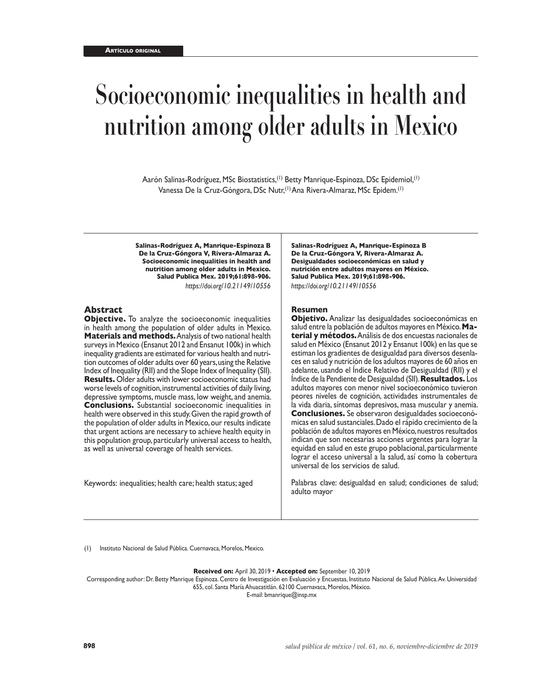# **Socioeconomic inequalities in health and nutrition among older adults in Mexico**

Aarón Salinas-Rodríguez, MSc Biostatistics,<sup>(1)</sup> Betty Manrique-Espinoza, DSc Epidemiol,<sup>(1)</sup> Vanessa De la Cruz-Góngora, DSc Nutr,(1) Ana Rivera-Almaraz, MSc Epidem.(1)

**Salinas-Rodríguez A, Manrique-Espinoza B De la Cruz-Góngora V, Rivera-Almaraz A. Socioeconomic inequalities in health and nutrition among older adults in Mexico. Salud Publica Mex. 2019;61:898-906.** *https://doi.org/10.21149/10556*

#### **Abstract**

**Objective.** To analyze the socioeconomic inequalities in health among the population of older adults in Mexico. **Materials and methods.** Analysis of two national health surveys in Mexico (Ensanut 2012 and Ensanut 100k) in which inequality gradients are estimated for various health and nutrition outcomes of older adults over 60 years, using the Relative Index of Inequality (RII) and the Slope Index of Inequality (SII). **Results.** Older adults with lower socioeconomic status had worse levels of cognition, instrumental activities of daily living, depressive symptoms, muscle mass, low weight, and anemia. **Conclusions.** Substantial socioeconomic inequalities in health were observed in this study. Given the rapid growth of the population of older adults in Mexico, our results indicate that urgent actions are necessary to achieve health equity in this population group, particularly universal access to health, as well as universal coverage of health services.

Keywords: inequalities; health care; health status; aged

**Salinas-Rodríguez A, Manrique-Espinoza B De la Cruz-Góngora V, Rivera-Almaraz A. Desigualdades socioeconómicas en salud y nutrición entre adultos mayores en México. Salud Publica Mex. 2019;61:898-906.** *https://doi.org/10.21149/10556*

#### **Resumen**

**Objetivo.** Analizar las desigualdades socioeconómicas en salud entre la población de adultos mayores en México. **Material y métodos.** Análisis de dos encuestas nacionales de salud en México (Ensanut 2012 y Ensanut 100k) en las que se estiman los gradientes de desigualdad para diversos desenlaces en salud y nutrición de los adultos mayores de 60 años en adelante, usando el Índice Relativo de Desigualdad (RII) y el Índice de la Pendiente de Desigualdad (SII). **Resultados.** Los adultos mayores con menor nivel socioeconómico tuvieron peores niveles de cognición, actividades instrumentales de la vida diaria, síntomas depresivos, masa muscular y anemia. **Conclusiones.** Se observaron desigualdades socioeconómicas en salud sustanciales. Dado el rápido crecimiento de la población de adultos mayores en México, nuestros resultados indican que son necesarias acciones urgentes para lograr la equidad en salud en este grupo poblacional, particularmente lograr el acceso universal a la salud, así como la cobertura universal de los servicios de salud.

Palabras clave: desigualdad en salud; condiciones de salud; adulto mayor

(1) Instituto Nacional de Salud Pública. Cuernavaca, Morelos, Mexico.

**Received on:** April 30, 2019 • **Accepted on:** September 10, 2019

Corresponding author: Dr. Betty Manrique Espinoza. Centro de Investigación en Evaluación y Encuestas, Instituto Nacional de Salud Pública. Av. Universidad 655, col. Santa María Ahuacatitlán. 62100 Cuernavaca, Morelos, México.

E-mail: bmanrique@insp.mx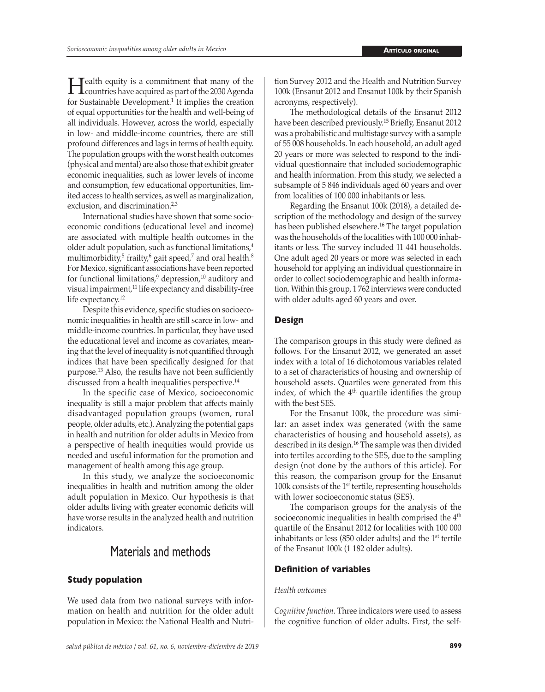**Health equity is a commitment that many of the countries have acquired as part of the 2030 Agenda** for Sustainable Development.<sup>1</sup> It implies the creation of equal opportunities for the health and well-being of all individuals. However, across the world, especially in low- and middle-income countries, there are still profound differences and lags in terms of health equity. The population groups with the worst health outcomes (physical and mental) are also those that exhibit greater economic inequalities, such as lower levels of income and consumption, few educational opportunities, limited access to health services, as well as marginalization, exclusion, and discrimination.<sup>2,3</sup>

International studies have shown that some socioeconomic conditions (educational level and income) are associated with multiple health outcomes in the older adult population, such as functional limitations,<sup>4</sup> multimorbidity, $^{\circ}$  frailty, $^{\circ}$  gait speed, $^{\prime}$  and oral health. $^{\circ}$ For Mexico, significant associations have been reported for functional limitations,<sup>9</sup> depression,<sup>10</sup> auditory and visual impairment,<sup>11</sup> life expectancy and disability-free life expectancy.<sup>12</sup>

Despite this evidence, specific studies on socioeconomic inequalities in health are still scarce in low- and middle-income countries. In particular, they have used the educational level and income as covariates, meaning that the level of inequality is not quantified through indices that have been specifically designed for that purpose.13 Also, the results have not been sufficiently discussed from a health inequalities perspective.<sup>14</sup>

In the specific case of Mexico, socioeconomic inequality is still a major problem that affects mainly disadvantaged population groups (women, rural people, older adults, etc.). Analyzing the potential gaps in health and nutrition for older adults in Mexico from a perspective of health inequities would provide us needed and useful information for the promotion and management of health among this age group.

In this study, we analyze the socioeconomic inequalities in health and nutrition among the older adult population in Mexico. Our hypothesis is that older adults living with greater economic deficits will have worse results in the analyzed health and nutrition indicators.

## Materials and methods

#### **Study population**

We used data from two national surveys with information on health and nutrition for the older adult population in Mexico: the National Health and Nutrition Survey 2012 and the Health and Nutrition Survey 100k (Ensanut 2012 and Ensanut 100k by their Spanish acronyms, respectively).

The methodological details of the Ensanut 2012 have been described previously.<sup>15</sup> Briefly, Ensanut 2012 was a probabilistic and multistage survey with a sample of 55 008 households. In each household, an adult aged 20 years or more was selected to respond to the individual questionnaire that included sociodemographic and health information. From this study, we selected a subsample of 5 846 individuals aged 60 years and over from localities of 100 000 inhabitants or less.

Regarding the Ensanut 100k (2018), a detailed description of the methodology and design of the survey has been published elsewhere.<sup>16</sup> The target population was the households of the localities with 100 000 inhabitants or less. The survey included 11 441 households. One adult aged 20 years or more was selected in each household for applying an individual questionnaire in order to collect sociodemographic and health information. Within this group, 1 762 interviews were conducted with older adults aged 60 years and over.

#### **Design**

The comparison groups in this study were defined as follows. For the Ensanut 2012, we generated an asset index with a total of 16 dichotomous variables related to a set of characteristics of housing and ownership of household assets. Quartiles were generated from this index, of which the 4<sup>th</sup> quartile identifies the group with the best SES.

For the Ensanut 100k, the procedure was similar: an asset index was generated (with the same characteristics of housing and household assets), as described in its design.16 The sample was then divided into tertiles according to the SES, due to the sampling design (not done by the authors of this article). For this reason, the comparison group for the Ensanut 100k consists of the 1st tertile, representing households with lower socioeconomic status (SES).

The comparison groups for the analysis of the socioeconomic inequalities in health comprised the 4<sup>th</sup> quartile of the Ensanut 2012 for localities with 100 000 inhabitants or less (850 older adults) and the 1st tertile of the Ensanut 100k (1 182 older adults).

#### **Definition of variables**

#### *Health outcomes*

*Cognitive function*. Three indicators were used to assess the cognitive function of older adults. First, the self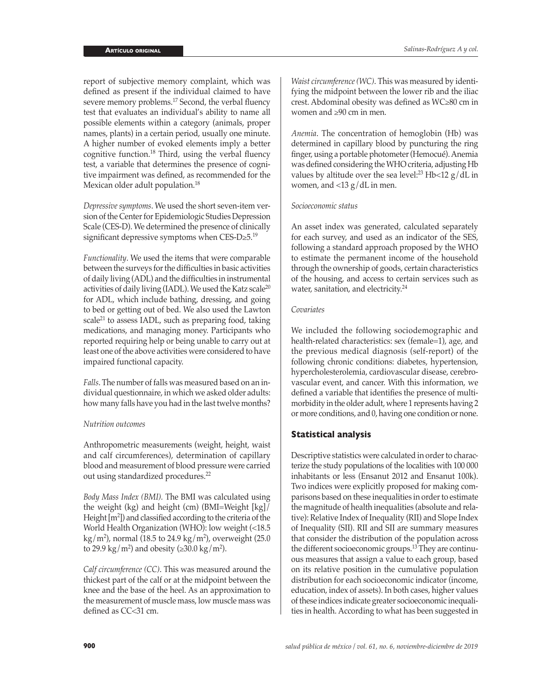report of subjective memory complaint, which was defined as present if the individual claimed to have severe memory problems.<sup>17</sup> Second, the verbal fluency test that evaluates an individual's ability to name all possible elements within a category (animals, proper names, plants) in a certain period, usually one minute. A higher number of evoked elements imply a better cognitive function.<sup>18</sup> Third, using the verbal fluency test, a variable that determines the presence of cognitive impairment was defined, as recommended for the Mexican older adult population.<sup>18</sup>

*Depressive symptoms*. We used the short seven-item version of the Center for Epidemiologic Studies Depression Scale (CES-D). We determined the presence of clinically significant depressive symptoms when  $CES-D\geq 5.19$ 

*Functionality*. We used the items that were comparable between the surveys for the difficulties in basic activities of daily living (ADL) and the difficulties in instrumental activities of daily living (IADL). We used the Katz scale<sup>20</sup> for ADL, which include bathing, dressing, and going to bed or getting out of bed. We also used the Lawton scale<sup>21</sup> to assess IADL, such as preparing food, taking medications, and managing money. Participants who reported requiring help or being unable to carry out at least one of the above activities were considered to have impaired functional capacity.

*Falls*. The number of falls was measured based on an individual questionnaire, in which we asked older adults: how many falls have you had in the last twelve months?

#### *Nutrition outcomes*

Anthropometric measurements (weight, height, waist and calf circumferences), determination of capillary blood and measurement of blood pressure were carried out using standardized procedures.22

*Body Mass Index (BMI).* The BMI was calculated using the weight (kg) and height (cm) (BMI=Weight [kg]/ Height [m2 ]) and classified according to the criteria of the World Health Organization (WHO): low weight (<18.5 kg/m<sup>2</sup> ), normal (18.5 to 24.9 kg/m<sup>2</sup> ), overweight (25.0 to 29.9 kg/m<sup>2</sup>) and obesity ( $\geq 30.0$  kg/m<sup>2</sup>).

*Calf circumference (CC)*. This was measured around the thickest part of the calf or at the midpoint between the knee and the base of the heel. As an approximation to the measurement of muscle mass, low muscle mass was defined as CC<31 cm.

*Waist circumference (WC)*. This was measured by identifying the midpoint between the lower rib and the iliac crest. Abdominal obesity was defined as WC≥80 cm in women and ≥90 cm in men.

*Anemia*. The concentration of hemoglobin (Hb) was determined in capillary blood by puncturing the ring finger, using a portable photometer (Hemocué). Anemia was defined considering the WHO criteria, adjusting Hb values by altitude over the sea level:<sup>23</sup> Hb<12  $g/dL$  in women, and  $<$ 13 g/dL in men.

#### *Socioeconomic status*

An asset index was generated, calculated separately for each survey, and used as an indicator of the SES, following a standard approach proposed by the WHO to estimate the permanent income of the household through the ownership of goods, certain characteristics of the housing, and access to certain services such as water, sanitation, and electricity.<sup>24</sup>

#### *Covariates*

We included the following sociodemographic and health-related characteristics: sex (female=1), age, and the previous medical diagnosis (self-report) of the following chronic conditions: diabetes, hypertension, hypercholesterolemia, cardiovascular disease, cerebrovascular event, and cancer. With this information, we defined a variable that identifies the presence of multimorbidity in the older adult, where 1 represents having 2 or more conditions, and 0, having one condition or none.

#### **Statistical analysis**

Descriptive statistics were calculated in order to characterize the study populations of the localities with 100 000 inhabitants or less (Ensanut 2012 and Ensanut 100k). Two indices were explicitly proposed for making comparisons based on these inequalities in order to estimate the magnitude of health inequalities (absolute and relative): Relative Index of Inequality (RII) and Slope Index of Inequality (SII). RII and SII are summary measures that consider the distribution of the population across the different socioeconomic groups.13 They are continuous measures that assign a value to each group, based on its relative position in the cumulative population distribution for each socioeconomic indicator (income, education, index of assets). In both cases, higher values of these indices indicate greater socioeconomic inequalities in health. According to what has been suggested in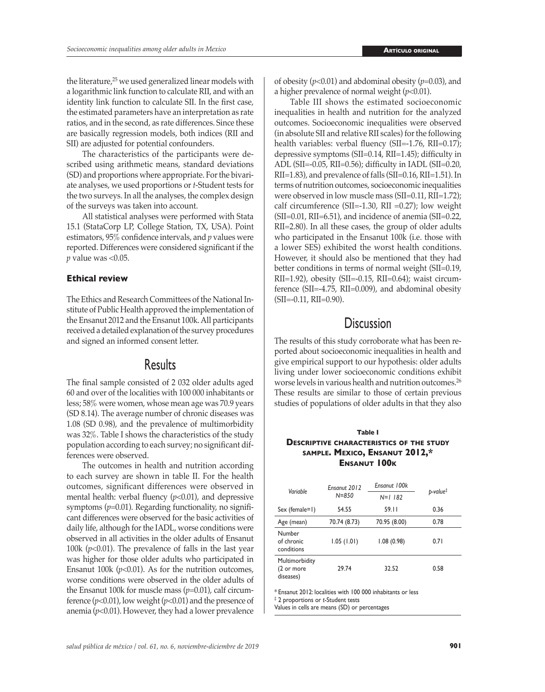the literature,<sup>25</sup> we used generalized linear models with a logarithmic link function to calculate RII, and with an identity link function to calculate SII. In the first case, the estimated parameters have an interpretation as rate ratios, and in the second, as rate differences. Since these are basically regression models, both indices (RII and SII) are adjusted for potential confounders.

The characteristics of the participants were described using arithmetic means, standard deviations (SD) and proportions where appropriate. For the bivariate analyses, we used proportions or *t*-Student tests for the two surveys. In all the analyses, the complex design of the surveys was taken into account.

All statistical analyses were performed with Stata 15.1 (StataCorp LP, College Station, TX, USA). Point estimators, 95% confidence intervals, and *p* values were reported. Differences were considered significant if the *p* value was <0.05.

#### **Ethical review**

The Ethics and Research Committees of the National Institute of Public Health approved the implementation of the Ensanut 2012 and the Ensanut 100k. All participants received a detailed explanation of the survey procedures and signed an informed consent letter.

### Results

The final sample consisted of 2 032 older adults aged 60 and over of the localities with 100 000 inhabitants or less; 58% were women, whose mean age was 70.9 years (SD 8.14). The average number of chronic diseases was 1.08 (SD 0.98), and the prevalence of multimorbidity was 32%. Table I shows the characteristics of the study population according to each survey; no significant differences were observed.

The outcomes in health and nutrition according to each survey are shown in table II. For the health outcomes, significant differences were observed in mental health: verbal fluency ( $p$ <0.01), and depressive symptoms (*p*=0.01). Regarding functionality, no significant differences were observed for the basic activities of daily life, although for the IADL, worse conditions were observed in all activities in the older adults of Ensanut 100k ( $p<0.01$ ). The prevalence of falls in the last year was higher for those older adults who participated in Ensanut 100k  $(p<0.01)$ . As for the nutrition outcomes, worse conditions were observed in the older adults of the Ensanut 100k for muscle mass (*p*=0.01), calf circumference (*p*<0.01), low weight (*p*<0.01) and the presence of anemia  $(p<0.01)$ . However, they had a lower prevalence of obesity (*p*<0.01) and abdominal obesity (*p*=0.03), and a higher prevalence of normal weight (*p*<0.01).

Table III shows the estimated socioeconomic inequalities in health and nutrition for the analyzed outcomes. Socioeconomic inequalities were observed (in absolute SII and relative RII scales) for the following health variables: verbal fluency (SII=-1.76, RII=0.17); depressive symptoms (SII=0.14, RII=1.45); difficulty in ADL (SII=-0.05, RII=0.56); difficulty in IADL (SII=0.20, RII=1.83), and prevalence of falls (SII=0.16, RII=1.51). In terms of nutrition outcomes, socioeconomic inequalities were observed in low muscle mass (SII=0.11, RII=1.72); calf circumference (SII=-1.30, RII =0.27); low weight (SII=0.01, RII=6.51), and incidence of anemia (SII=0.22, RII=2.80). In all these cases, the group of older adults who participated in the Ensanut 100k (i.e. those with a lower SES) exhibited the worst health conditions. However, it should also be mentioned that they had better conditions in terms of normal weight (SII=0.19, RII=1.92), obesity (SII=-0.15, RII=0.64); waist circumference (SII=-4.75, RII=0.009), and abdominal obesity (SII=-0.11, RII=0.90).

## **Discussion**

The results of this study corroborate what has been reported about socioeconomic inequalities in health and give empirical support to our hypothesis: older adults living under lower socioeconomic conditions exhibit worse levels in various health and nutrition outcomes.26 These results are similar to those of certain previous studies of populations of older adults in that they also

#### **Table I Descriptive characteristics of the study sample. Mexico, Ensanut 2012,\* Ensanut 100k**

| Variable                                  | Ensanut 2012<br>$N = 850$ | Ensanut 100k<br>$N=1$ 182 | $p$ -value $\ddagger$ |
|-------------------------------------------|---------------------------|---------------------------|-----------------------|
| Sex (female=1)                            | 54.55                     | 59.11                     | 0.36                  |
| Age (mean)                                | 70.74 (8.73)              | 70.95 (8.00)              | 0.78                  |
| Number<br>of chronic<br>conditions        | 1.05(1.01)                | 1.08(0.98)                | 0.71                  |
| Multimorbidity<br>(2 or more<br>diseases) | 29.74                     | 32.52                     | 0.58                  |

\* Ensanut 2012: localities with 100 000 inhabitants or less

‡ 2 proportions or *t*-Student tests

Values in cells are means (SD) or percentages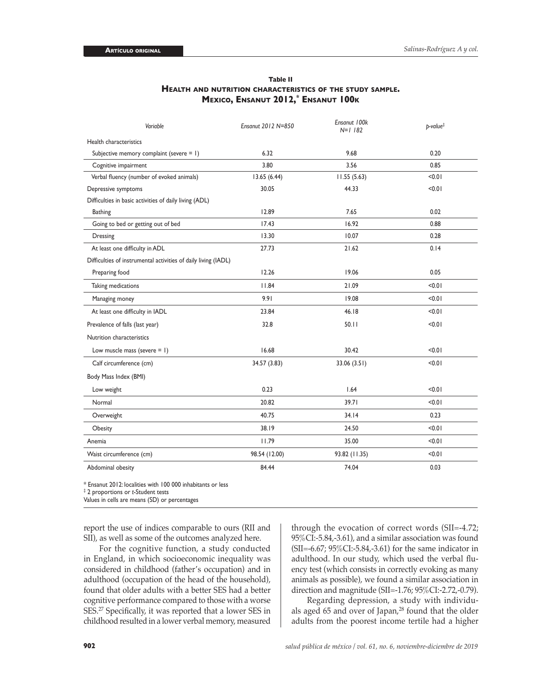| Variable                                                       | Ensanut 2012 N=850 | Ensanut 100k<br>$N=1$ 182 | $p$ -value $\ddagger$ |
|----------------------------------------------------------------|--------------------|---------------------------|-----------------------|
| Health characteristics                                         |                    |                           |                       |
| Subjective memory complaint (severe = 1)                       | 6.32               | 9.68                      | 0.20                  |
| Cognitive impairment                                           | 3.80               | 3.56                      | 0.85                  |
| Verbal fluency (number of evoked animals)                      | 13.65(6.44)        | 11.55(5.63)               | 10.0                  |
| Depressive symptoms                                            | 30.05              | 44.33                     | < 0.01                |
| Difficulties in basic activities of daily living (ADL)         |                    |                           |                       |
| <b>Bathing</b>                                                 | 12.89              | 7.65                      | 0.02                  |
| Going to bed or getting out of bed                             | 17.43              | 16.92                     | 0.88                  |
| Dressing                                                       | 13.30              | 10.07                     | 0.28                  |
| At least one difficulty in ADL                                 | 27.73              | 21.62                     | 0.14                  |
| Difficulties of instrumental activities of daily living (IADL) |                    |                           |                       |
| Preparing food                                                 | 12.26              | 19.06                     | 0.05                  |
| Taking medications                                             | 11.84              | 21.09                     | < 0.01                |
| Managing money                                                 | 9.91               | 19.08                     | 10.01                 |
| At least one difficulty in IADL                                | 23.84              | 46.18                     | < 0.01                |
| Prevalence of falls (last year)                                | 32.8               | 50.11                     | < 0.01                |
| Nutrition characteristics                                      |                    |                           |                       |
| Low muscle mass (severe $= 1$ )                                | 16.68              | 30.42                     | 10.01                 |
| Calf circumference (cm)                                        | 34.57 (3.83)       | 33.06(3.51)               | 10.01                 |
| Body Mass Index (BMI)                                          |                    |                           |                       |
| Low weight                                                     | 0.23               | 1.64                      | 10.01                 |
| Normal                                                         | 20.82              | 39.71                     | 10.01                 |
| Overweight                                                     | 40.75              | 34.14                     | 0.23                  |
| Obesity                                                        | 38.19              | 24.50                     | 10.01                 |
| Anemia                                                         | 11.79              | 35.00                     | 10.0                  |
| Waist circumference (cm)                                       | 98.54 (12.00)      | 93.82 (11.35)             | < 0.01                |
| Abdominal obesity                                              | 84.44              | 74.04                     | 0.03                  |

#### **Table II Health and nutrition characteristics of the study sample. Mexico, Ensanut 2012,\* Ensanut 100k**

\* Ensanut 2012: localities with 100 000 inhabitants or less

‡ 2 proportions or *t*-Student tests

Values in cells are means (SD) or percentages

report the use of indices comparable to ours (RII and SII), as well as some of the outcomes analyzed here.

For the cognitive function, a study conducted in England, in which socioeconomic inequality was considered in childhood (father's occupation) and in adulthood (occupation of the head of the household), found that older adults with a better SES had a better cognitive performance compared to those with a worse SES.27 Specifically, it was reported that a lower SES in childhood resulted in a lower verbal memory, measured

through the evocation of correct words (SII=-4.72; 95%CI:-5.84,-3.61), and a similar association was found (SII=-6.67; 95%CI:-5.84,-3.61) for the same indicator in adulthood. In our study, which used the verbal fluency test (which consists in correctly evoking as many animals as possible), we found a similar association in direction and magnitude (SII=-1.76; 95%CI:-2.72,-0.79).

Regarding depression, a study with individuals aged 65 and over of Japan,<sup>28</sup> found that the older adults from the poorest income tertile had a higher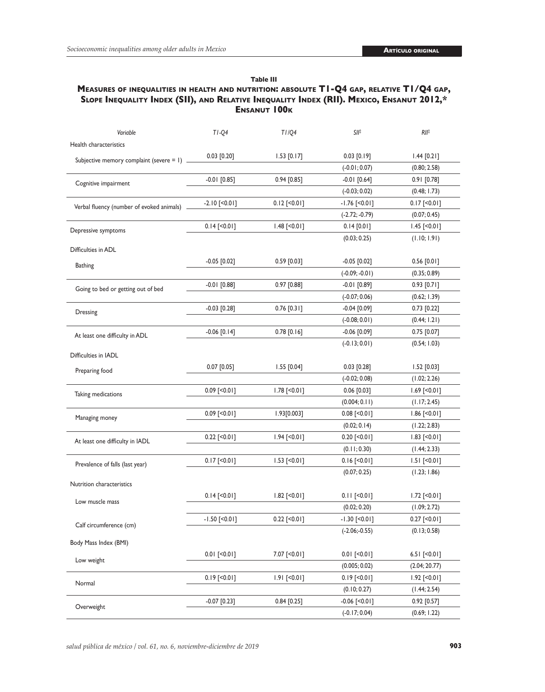#### **Table III**

#### **Measures of inequalities in health and nutrition: absolute T1-Q4 gap, relative T1/Q4 gap, Slope Inequality Index (SII), and Relative Inequality Index (RII). Mexico, Ensanut 2012,\* Ensanut 100k**

| Variable                                      | $TI-Q4$            | TI/Q4               | SII‡               | RII‡               |
|-----------------------------------------------|--------------------|---------------------|--------------------|--------------------|
| Health characteristics                        |                    |                     |                    |                    |
| Subjective memory complaint (severe = $1)$ __ | $0.03$ [0.20]      | $1.53$ [0.17]       | $0.03$ [0.19]      | $1.44$ [0.21]      |
|                                               |                    |                     | $(-0.01; 0.07)$    | (0.80; 2.58)       |
| Cognitive impairment                          | $-0.01$ [0.85]     | $0.94$ [0.85]       | $-0.01$ [0.64]     | 0.91 [0.78]        |
|                                               |                    |                     | $(-0.03; 0.02)$    | (0.48; 1.73)       |
| Verbal fluency (number of evoked animals)     | $-2.10$ [<0.01]    | $0.12$ [ $0.01$ ]   | $-1.76$ [<0.01]    | $0.17$ [< $0.01$ ] |
|                                               |                    |                     | $(-2.72; -0.79)$   | (0.07; 0.45)       |
| Depressive symptoms                           | $0.14$ [< $0.01$ ] | $1.48$ [<0.01]      | $0.14$ [0.01]      | $1.45$ [<0.01]     |
|                                               |                    |                     | (0.03; 0.25)       | (1.10; 1.91)       |
| Difficulties in ADL                           |                    |                     |                    |                    |
| <b>Bathing</b>                                | $-0.05$ [0.02]     | $0.59$ [0.03]       | $-0.05$ [0.02]     | $0.56$ [0.01]      |
|                                               |                    |                     | $(-0.09; -0.01)$   | (0.35; 0.89)       |
| Going to bed or getting out of bed            | $-0.01$ [0.88]     | $0.97$ $[0.88]$     | $-0.01$ [0.89]     | $0.93$ [0.71]      |
|                                               |                    |                     | $(-0.07; 0.06)$    | (0.62; 1.39)       |
| Dressing                                      | $-0.03$ [0.28]     | $0.76$ [0.31]       | $-0.04$ [0.09]     | $0.73$ [0.22]      |
|                                               |                    |                     | $(-0.08; 0.01)$    | (0.44; 1.21)       |
| At least one difficulty in ADL                | $-0.06$ [0.14]     | $0.78$ [0.16]       | $-0.06$ $[0.09]$   | $0.75$ $[0.07]$    |
|                                               |                    |                     | $(-0.13; 0.01)$    | (0.54; 1.03)       |
| Difficulties in IADL                          |                    |                     |                    |                    |
| Preparing food                                | $0.07$ [0.05]      | $1.55$ [0.04]       | $0.03$ [0.28]      | $1.52$ [0.03]      |
|                                               |                    |                     | $(-0.02; 0.08)$    | (1.02; 2.26)       |
| Taking medications                            | $0.09$ [ $0.01$ ]  | $1.78$ [ $< 0.01$ ] | $0.06$ [0.03]      | $1.69$ [<0.01]     |
|                                               |                    |                     | (0.004; 0.11)      | (1.17; 2.45)       |
| Managing money                                | $0.09$ [ $0.01$ ]  | 1.93[0.003]         | $0.08$ [< $0.01$ ] | $1.86$ [<0.01]     |
|                                               |                    |                     | (0.02; 0.14)       | (1.22; 2.83)       |
| At least one difficulty in IADL               | $0.22$ [< $0.01$ ] | $1.94$ [ $0.01$ ]   | $0.20$ [< $0.01$ ] | $1.83$ [<0.01]     |
|                                               |                    |                     | (0.11; 0.30)       | (1.44; 2.33)       |
| Prevalence of falls (last year)               | $0.17$ [< $0.01$ ] | $1.53$ [ $< 0.01$ ] | $0.16$ [< $0.01$ ] | $1.51$ [<0.01]     |
|                                               |                    |                     | (0.07; 0.25)       | (1.23; 1.86)       |
| Nutrition characteristics                     |                    |                     |                    |                    |
| Low muscle mass                               | $0.14$ [< $0.01$ ] | $1.82$ [<0.01]      | $0.11$ [<0.01]     | $1.72$ [ $0.01$ ]  |
|                                               |                    |                     | (0.02; 0.20)       | (1.09; 2.72)       |
| Calf circumference (cm)                       | $-1.50$ [<0.01]    | $0.22$ [< $0.01$ ]  | $-1.30$ [<0.01]    | $0.27$ [<0.01]     |
|                                               |                    |                     | $(-2.06; -0.55)$   | (0.13; 0.58)       |
| Body Mass Index (BMI)                         |                    |                     |                    |                    |
| Low weight                                    | $0.01$ [< $0.01$ ] | 7.07 [<0.01]        | $0.01$ [<0.01]     | 6.51 $[$ <0.01]    |
|                                               |                    |                     | (0.005; 0.02)      | (2.04; 20.77)      |
| Normal                                        | $0.19$ [< $0.01$ ] | $1.91$ [<0.01]      | $0.19$ [< $0.01$ ] | $1.92$ [<0.01]     |
|                                               |                    |                     | (0.10; 0.27)       | (1.44; 2.54)       |
| Overweight                                    | $-0.07$ [0.23]     | $0.84$ [0.25]       | $-0.06$ [<0.01]    | 0.92 [0.57]        |
|                                               |                    |                     | $(-0.17; 0.04)$    | (0.69; 1.22)       |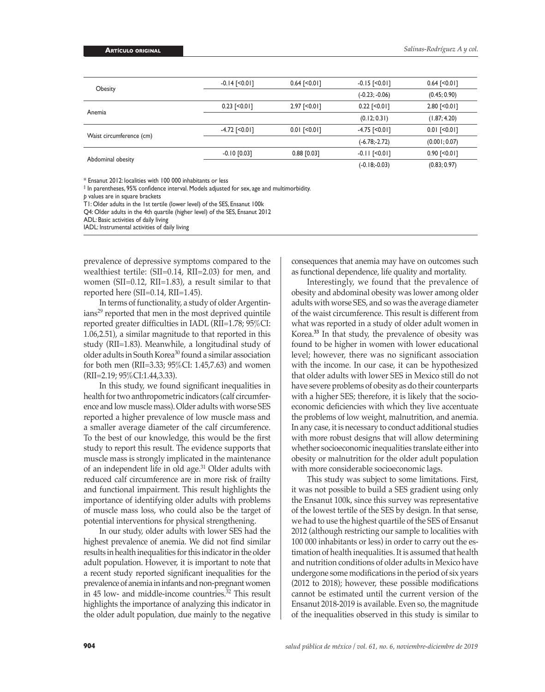|                          | $-0.14$ [ $< 0.01$ ] | $0.64$ [ $< 0.01$ ] | $-0.15$ [ $< 0.01$ ]   | $0.64$ [ $< 0.01$ ] |
|--------------------------|----------------------|---------------------|------------------------|---------------------|
| Obesity                  |                      |                     | $(-0.23; -0.06)$       | (0.45; 0.90)        |
|                          | $0.23$ [ $0.01$ ]    | $2.97$ [ $< 0.01$ ] | $0.22$ [ $\leq 0.01$ ] | $2.80$ [ $< 0.01$ ] |
| Anemia                   |                      |                     | (0.12; 0.31)           | (1.87; 4.20)        |
|                          | $-4.72$ [ $< 0.01$ ] | $0.01$ [ $< 0.01$ ] | $-4.75$ [ $< 0.01$ ]   | $0.01$ [ $0.01$ ]   |
| Waist circumference (cm) |                      |                     | $(-6.78,-2.72)$        | (0.001; 0.07)       |
|                          | $-0.10$ [0.03]       | $0.88$ [0.03]       | $-0.11$ [<0.01]        | $0.90$ [ $< 0.01$ ] |
| Abdominal obesity        |                      |                     | $(-0.18,-0.03)$        | (0.83; 0.97)        |

\* Ensanut 2012: localities with 100 000 inhabitants or less

‡ In parentheses, 95% confidence interval. Models adjusted for sex, age and multimorbidity.

*p* values are in square brackets

T1: Older adults in the 1st tertile (lower level) of the SES, Ensanut 100k

Q4: Older adults in the 4th quartile (higher level) of the SES, Ensanut 2012

ADL: Basic activities of daily living

IADL: Instrumental activities of daily living

prevalence of depressive symptoms compared to the wealthiest tertile: (SII=0.14, RII=2.03) for men, and women (SII=0.12, RII=1.83), a result similar to that reported here (SII=0.14, RII=1.45).

In terms of functionality, a study of older Argentin $i$ ans<sup>29</sup> reported that men in the most deprived quintile reported greater difficulties in IADL (RII=1.78; 95%CI: 1.06,2.51), a similar magnitude to that reported in this study (RII=1.83). Meanwhile, a longitudinal study of older adults in South Korea<sup>30</sup> found a similar association for both men (RII=3.33; 95%CI: 1.45,7.63) and women (RII=2.19; 95%CI:1.44,3.33).

In this study, we found significant inequalities in health for two anthropometric indicators (calf circumference and low muscle mass). Older adults with worse SES reported a higher prevalence of low muscle mass and a smaller average diameter of the calf circumference. To the best of our knowledge, this would be the first study to report this result. The evidence supports that muscle mass is strongly implicated in the maintenance of an independent life in old age.<sup>31</sup> Older adults with reduced calf circumference are in more risk of frailty and functional impairment. This result highlights the importance of identifying older adults with problems of muscle mass loss, who could also be the target of potential interventions for physical strengthening.

In our study, older adults with lower SES had the highest prevalence of anemia. We did not find similar results in health inequalities for this indicator in the older adult population. However, it is important to note that a recent study reported significant inequalities for the prevalence of anemia in infants and non-pregnant women in 45 low- and middle-income countries.<sup>32</sup> This result highlights the importance of analyzing this indicator in the older adult population, due mainly to the negative

consequences that anemia may have on outcomes such as functional dependence, life quality and mortality.

Interestingly, we found that the prevalence of obesity and abdominal obesity was lower among older adults with worse SES, and so was the average diameter of the waist circumference. This result is different from what was reported in a study of older adult women in Korea.**<sup>33</sup>** In that study, the prevalence of obesity was found to be higher in women with lower educational level; however, there was no significant association with the income. In our case, it can be hypothesized that older adults with lower SES in Mexico still do not have severe problems of obesity as do their counterparts with a higher SES; therefore, it is likely that the socioeconomic deficiencies with which they live accentuate the problems of low weight, malnutrition, and anemia. In any case, it is necessary to conduct additional studies with more robust designs that will allow determining whether socioeconomic inequalities translate either into obesity or malnutrition for the older adult population with more considerable socioeconomic lags.

This study was subject to some limitations. First, it was not possible to build a SES gradient using only the Ensanut 100k, since this survey was representative of the lowest tertile of the SES by design. In that sense, we had to use the highest quartile of the SES of Ensanut 2012 (although restricting our sample to localities with 100 000 inhabitants or less) in order to carry out the estimation of health inequalities. It is assumed that health and nutrition conditions of older adults in Mexico have undergone some modifications in the period of six years (2012 to 2018); however, these possible modifications cannot be estimated until the current version of the Ensanut 2018-2019 is available. Even so, the magnitude of the inequalities observed in this study is similar to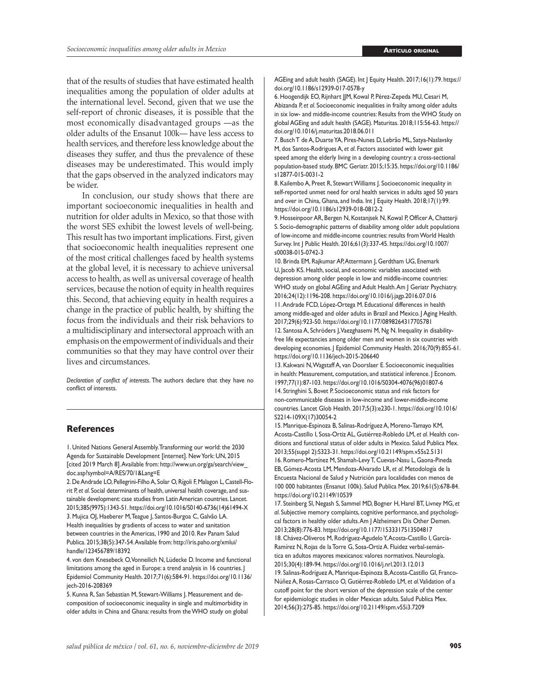that of the results of studies that have estimated health inequalities among the population of older adults at the international level. Second, given that we use the self-report of chronic diseases, it is possible that the most economically disadvantaged groups —as the older adults of the Ensanut 100k— have less access to health services, and therefore less knowledge about the diseases they suffer, and thus the prevalence of these diseases may be underestimated. This would imply that the gaps observed in the analyzed indicators may be wider.

In conclusion, our study shows that there are important socioeconomic inequalities in health and nutrition for older adults in Mexico, so that those with the worst SES exhibit the lowest levels of well-being. This result has two important implications. First, given that socioeconomic health inequalities represent one of the most critical challenges faced by health systems at the global level, it is necessary to achieve universal access to health, as well as universal coverage of health services, because the notion of equity in health requires this. Second, that achieving equity in health requires a change in the practice of public health, by shifting the focus from the individuals and their risk behaviors to a multidisciplinary and intersectoral approach with an emphasis on the empowerment of individuals and their communities so that they may have control over their lives and circumstances.

*Declaration of conflict of interests*. The authors declare that they have no conflict of interests.

#### **References**

1. United Nations General Assembly. Transforming our world: the 2030 Agenda for Sustainable Development [internet]. New York: UN, 2015 [cited 2019 March 8]. Available from: [http://www.un.org/ga/search/view\\_](http://www.un.org/ga/search/view_doc.asp?symbol=A/RES/70/1&Lang=E) [doc.asp?symbol=A/RES/70/1&Lang=E](http://www.un.org/ga/search/view_doc.asp?symbol=A/RES/70/1&Lang=E)

2. De Andrade LO, Pellegrini-Filho A, Solar O, Rígoli F, Malagon L, Castell-Florit P, *et al*. Social determinants of health, universal health coverage, and sustainable development: case studies from Latin American countries. Lancet. 2015;385(9975):1343-51. [https://doi.org/10.1016/S0140-6736\(14\)61494-X](https://doi.org/10.1016/S0140-6736(14)61494-X) 3. Mujica OJ, Haeberer M, Teague J, Santos-Burgoa C, Galvão LA. Health inequalities by gradients of access to water and sanitation between countries in the Americas, 1990 and 2010. Rev Panam Salud Publica. 2015;38(5):347-54. Available from: [http://iris.paho.org/xmlui/](http://iris.paho.org/xmlui/handle/123456789/18392) [handle/123456789/18392](http://iris.paho.org/xmlui/handle/123456789/18392)

4. von dem Knesebeck O, Vonneilich N, Lüdecke D. Income and functional limitations among the aged in Europe: a trend analysis in 16 countries. J Epidemiol Community Health. 2017;71(6):584-91. [https://doi.org/10.1136/](https://doi.org/10.1136/jech-2016-208369) [jech-2016-208369](https://doi.org/10.1136/jech-2016-208369)

5. Kunna R, San Sebastian M, Stewart-Williams J. Measurement and decomposition of socioeconomic inequality in single and multimorbidity in older adults in China and Ghana: results from the WHO study on global AGEing and adult health (SAGE). Int | Equity Health. 2017;16(1):79. [https://](https://doi.org/10.1186/s12939-017-0578-y) [doi.org/10.1186/s12939-017-0578-y](https://doi.org/10.1186/s12939-017-0578-y)

6. Hoogendijk EO, Rijnhart JJM, Kowal P, Pérez-Zepeda MU, Cesari M, Abizanda P, *et al*. Socioeconomic inequalities in frailty among older adults in six low- and middle-income countries: Results from the WHO Study on global AGEing and adult health (SAGE). Maturitas. 2018;115:56-63. [https://](https://doi.org/10.1016/j.maturitas.2018.06.011) [doi.org/10.1016/j.maturitas.2018.06.011](https://doi.org/10.1016/j.maturitas.2018.06.011)

7. Busch T de A, Duarte YA, Pires-Nunes D, Lebrão ML, Satya-Naslavsky M, dos Santos-Rodrigues A, *et al*. Factors associated with lower gait speed among the elderly living in a developing country: a cross-sectional population-based study. BMC Geriatr. 2015;15:35. [https://doi.org/10.1186/](https://doi.org/10.1186/s12877-015-0031-2) [s12877-015-0031-2](https://doi.org/10.1186/s12877-015-0031-2)

8. Kailembo A, Preet R, Stewart Williams J. Socioeconomic inequality in self-reported unmet need for oral health services in adults aged 50 years and over in China, Ghana, and India. Int | Equity Health. 2018;17(1):99. <https://doi.org/10.1186/s12939-018-0812-2>

9. Hosseinpoor AR, Bergen N, Kostanjsek N, Kowal P, Officer A, Chatterji S. Socio-demographic patterns of disability among older adult populations of low-income and middle-income countries: results from World Health Survey. Int J Public Health. 2016;61(3):337-45. [https://doi.org/10.1007/](https://doi.org/10.1007/s00038-015-0742-3) [s00038-015-0742-3](https://doi.org/10.1007/s00038-015-0742-3)

10. Brinda EM, Rajkumar AP, Attermann J, Gerdtham UG, Enemark U, Jacob KS. Health, social, and economic variables associated with depression among older people in low and middle-income countries: WHO study on global AGEing and Adult Health. Am J Geriatr Psychiatry. 2016;24(12):1196-208.<https://doi.org/10.1016/j.jagp.2016.07.016> 11. Andrade FCD, López-Ortega M. Educational differences in health among middle-aged and older adults in Brazil and Mexico. J Aging Health. 2017;29(6):923-50.<https://doi.org/10.1177/0898264317705781>

12. Santosa A, Schröders J, Vaezghasemi M, Ng N. Inequality in disabilityfree life expectancies among older men and women in six countries with developing economies. | Epidemiol Community Health. 2016;70(9):855-61. <https://doi.org/10.1136/jech-2015-206640>

13. Kakwani N, Wagstaff A, van Doorslaer E. Socioeconomic inequalities in health: Measurement, computation, and statistical inference. | Econom. 1997;77(1):87-103. [https://doi.org/10.1016/S0304-4076\(96\)01807-6](https://doi.org/10.1016/S0304-4076(96)01807-6) 14. Stringhini S, Bovet P. Socioeconomic status and risk factors for non-communicable diseases in low-income and lower-middle-income countries. Lancet Glob Health. 2017;5(3):e230-1. [https://doi.org/10.1016/](https://doi.org/10.1016/S2214-109X(17)30054-2) [S2214-109X\(17\)30054-2](https://doi.org/10.1016/S2214-109X(17)30054-2)

15. Manrique-Espinoza B, Salinas-Rodríguez A, Moreno-Tamayo KM, Acosta-Castillo I, Sosa-Ortiz AL, Gutiérrez-Robledo LM, *et al*. Health conditions and functional status of older adults in Mexico. Salud Publica Mex. 2013;55(suppl 2):S323-31. <https://doi.org/10.21149/spm.v55s2.5131> 16. Romero-Martínez M, Shamah-Levy T, Cuevas-Nasu L, Gaona-Pineda EB, Gómez-Acosta LM, Mendoza-Alvarado LR, *et al*. Metodología de la Encuesta Nacional de Salud y Nutrición para localidades con menos de 100 000 habitantes (Ensanut 100k). Salud Publica Mex. 2019;61(5):678-84. <https://doi.org/10.21149/10539>

17. Steinberg SI, Negash S, Sammel MD, Bogner H, Harel BT, Livney MG, *et al*. Subjective memory complaints, cognitive performance, and psychological factors in healthy older adults. Am J Alzheimers Dis Other Demen. 2013;28(8):776-83.<https://doi.org/10.1177/1533317513504817> 18. Chávez-Oliveros M, Rodríguez-Agudelo Y, Acosta-Castillo I, García-Ramírez N, Rojas de la Torre G, Sosa-Ortiz A. Fluidez verbal-semántica en adultos mayores mexicanos: valores normativos. Neurología. 2015;30(4):189-94.<https://doi.org/10.1016/j.nrl.2013.12.013> 19. Salinas-Rodríguez A, Manrique-Espinoza B, Acosta-Castillo GI, Franco-Núñez A, Rosas-Carrasco O, Gutiérrez-Robledo LM, *et al*. Validation of a cutoff point for the short version of the depression scale of the center for epidemiologic studies in older Mexican adults. Salud Publica Mex. 2014;56(3):275-85.<https://doi.org/10.21149/spm.v55i3.7209>